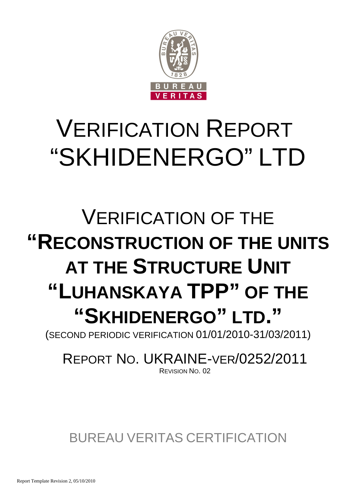

# VERIFICATION REPORT "SKHIDENERGO" LTD

## VERIFICATION OF THE **"RECONSTRUCTION OF THE UNITS AT THE STRUCTURE UNIT "LUHANSKAYA TPP" OF THE "SKHIDENERGO" LTD."**

(SECOND PERIODIC VERIFICATION 01/01/2010-31/03/2011)

### REPORT NO. UKRAINE-VER/0252/2011 REVISION NO. 02

### BUREAU VERITAS CERTIFICATION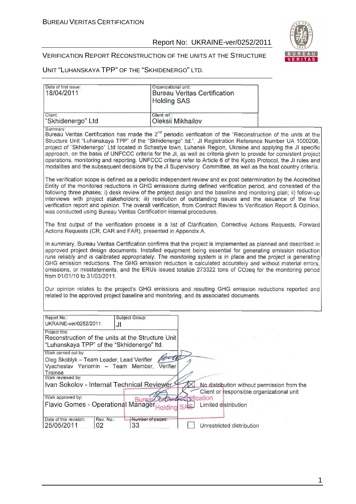

#### VERIFICATION REPORT RECONSTRUCTION OF THE UNITS AT THE STRUCTURE

UNIT "LUHANSKAYA TPP" OF THE "SKHIDENERGO" LTD.

| Date of first issue:<br>18/04/2011                                                                                                                                                                                                                                                                                                                                                                                                                                                                                                                                                                   | Organizational unit:<br><b>Bureau Veritas Certification</b><br><b>Holding SAS</b>                                                                                                                                                                                                                                                                                                                                                                                                                                                                                                                                                                                                                                |  |  |  |
|------------------------------------------------------------------------------------------------------------------------------------------------------------------------------------------------------------------------------------------------------------------------------------------------------------------------------------------------------------------------------------------------------------------------------------------------------------------------------------------------------------------------------------------------------------------------------------------------------|------------------------------------------------------------------------------------------------------------------------------------------------------------------------------------------------------------------------------------------------------------------------------------------------------------------------------------------------------------------------------------------------------------------------------------------------------------------------------------------------------------------------------------------------------------------------------------------------------------------------------------------------------------------------------------------------------------------|--|--|--|
| Client:<br>"Skhidenergo" Ltd                                                                                                                                                                                                                                                                                                                                                                                                                                                                                                                                                                         | Client ref.:<br>Oleksii Mikhailov                                                                                                                                                                                                                                                                                                                                                                                                                                                                                                                                                                                                                                                                                |  |  |  |
| Summary:                                                                                                                                                                                                                                                                                                                                                                                                                                                                                                                                                                                             | Bureau Veritas Certification has made the 2 <sup>nd</sup> periodic verification of the "Reconstruction of the units at the<br>Structure Unit "Luhanskaya TPP" of the "Skhidenergo" Itd.", JI Registration Reference Number UA 1000206,<br>project of "Skhidenergo" Ltd located in Schastye town, Luhansk Region, Ukraine and applying the JI specific<br>approach, on the basis of UNFCCC criteria for the JI, as well as criteria given to provide for consistent project<br>operations, monitoring and reporting. UNFCCC criteria refer to Article 6 of the Kyoto Protocol, the JI rules and<br>modalities and the subsequent decisions by the JI Supervisory Committee, as well as the host country criteria. |  |  |  |
| was conducted using Bureau Veritas Certification internal procedures.                                                                                                                                                                                                                                                                                                                                                                                                                                                                                                                                | The verification scope is defined as a periodic independent review and ex post determination by the Accredited<br>Entity of the monitored reductions in GHG emissions during defined verification period, and consisted of the<br>following three phases: i) desk review of the project design and the baseline and monitoring plan; ii) follow-up<br>interviews with project stakeholders; iii) resolution of outstanding issues and the issuance of the final<br>verification report and opinion. The overall verification, from Contract Review to Verification Report & Opinion,                                                                                                                             |  |  |  |
| Actions Requests (CR, CAR and FAR), presented in Appendix A.                                                                                                                                                                                                                                                                                                                                                                                                                                                                                                                                         | The first output of the verification process is a list of Clarification, Corrective Actions Requests, Forward                                                                                                                                                                                                                                                                                                                                                                                                                                                                                                                                                                                                    |  |  |  |
| In summary, Bureau Veritas Certification confirms that the project is implemented as planned and described in<br>approved project design documents. Installed equipment being essential for generating emission reduction<br>runs reliably and is calibrated appropriately. The monitoring system is in place and the project is generating<br>GHG emission reductions. The GHG emission reduction is calculated accurately and without material errors,<br>omissions, or misstatements, and the ERUs issued totalize 273322 tons of CO2eq for the monitoring period<br>from 01/01/10 to 31/03/2011. |                                                                                                                                                                                                                                                                                                                                                                                                                                                                                                                                                                                                                                                                                                                  |  |  |  |
|                                                                                                                                                                                                                                                                                                                                                                                                                                                                                                                                                                                                      | Our opinion relates to the project's GHG emissions and resulting GHG emission reductions reported and<br>related to the approved project baseline and monitoring, and its associated documents.                                                                                                                                                                                                                                                                                                                                                                                                                                                                                                                  |  |  |  |
| Report No.:<br>Subject Group:                                                                                                                                                                                                                                                                                                                                                                                                                                                                                                                                                                        |                                                                                                                                                                                                                                                                                                                                                                                                                                                                                                                                                                                                                                                                                                                  |  |  |  |
| UKRAINE-ver/0252/2011<br>JI<br>Project title:<br>Reconstruction of the units at the Structure Unit<br>"Luhanskaya TPP" of the "Skhidenergo" Itd.<br>Work carried out by:<br>Oleg Skoblyk - Team Leader, Lead Verifier<br>Vyacheslav Yeriomin - Team Member,<br><b>Trainee</b><br>Work reviewed by:                                                                                                                                                                                                                                                                                                   | $-150$<br>$\sim 10^6$<br>Verifier                                                                                                                                                                                                                                                                                                                                                                                                                                                                                                                                                                                                                                                                                |  |  |  |
| Ivan Sokolov - Internal Technical Reviewer<br>Work approved by:<br><b>Burea</b><br>Flavio Gomes - Operational Manager                                                                                                                                                                                                                                                                                                                                                                                                                                                                                | No distribution without permission from the<br>Client or responsible organizational unit<br>ification<br>Limited distribution<br><b>SAS</b><br>olding                                                                                                                                                                                                                                                                                                                                                                                                                                                                                                                                                            |  |  |  |
| Date of this revision:<br>Rev. No.:<br>Number of pages:<br>25/05/2011<br>02<br>33                                                                                                                                                                                                                                                                                                                                                                                                                                                                                                                    | Unrestricted distribution                                                                                                                                                                                                                                                                                                                                                                                                                                                                                                                                                                                                                                                                                        |  |  |  |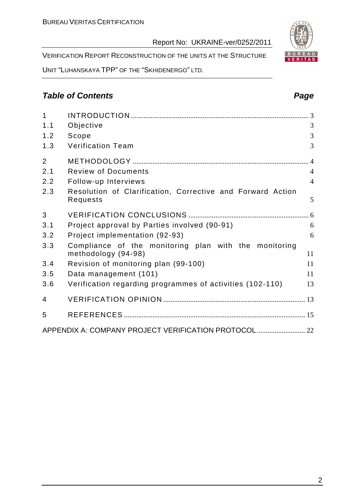VERIFICATION REPORT RECONSTRUCTION OF THE UNITS AT THE STRUCTURE

UNIT "LUHANSKAYA TPP" OF THE "SKHIDENERGO" LTD.

#### **Table of Contents Page 2014**

| $\mathbf{1}$   |                                                                              |                |
|----------------|------------------------------------------------------------------------------|----------------|
| 1.1            | Objective                                                                    | 3              |
| 1.2            | Scope                                                                        | 3              |
| 1.3            | <b>Verification Team</b>                                                     | 3              |
| $\overline{2}$ |                                                                              |                |
| 2.1            | <b>Review of Documents</b>                                                   | $\overline{4}$ |
| 2.2            | Follow-up Interviews                                                         | $\overline{4}$ |
| 2.3            | Resolution of Clarification, Corrective and Forward Action<br>Requests       | 5              |
| 3              |                                                                              |                |
| 3.1            | Project approval by Parties involved (90-91)                                 | 6              |
| 3.2            | Project implementation (92-93)                                               | 6              |
| 3.3            | Compliance of the monitoring plan with the monitoring<br>methodology (94-98) | 11             |
| 3.4            | Revision of monitoring plan (99-100)                                         | 11             |
| 3.5            | Data management (101)                                                        | 11             |
| 3.6            | Verification regarding programmes of activities (102-110)                    | 13             |
| 4              |                                                                              |                |
| 5              |                                                                              |                |
|                | APPENDIX A: COMPANY PROJECT VERIFICATION PROTOCOL 22                         |                |

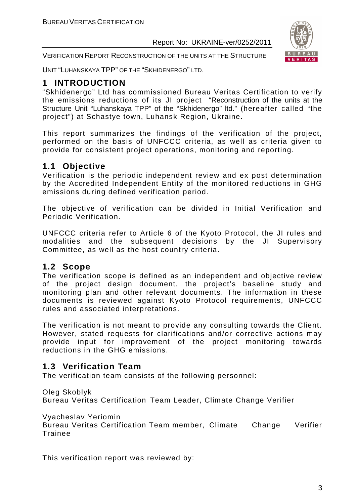

VERIFICATION REPORT RECONSTRUCTION OF THE UNITS AT THE STRUCTURE

UNIT "LUHANSKAYA TPP" OF THE "SKHIDENERGO" LTD.

#### **1 INTRODUCTION**

"Skhidenergo" Ltd has commissioned Bureau Veritas Certification to verify the emissions reductions of its JI project "Reconstruction of the units at the Structure Unit "Luhanskaya TPP" of the "Skhidenergo" ltd." (hereafter called "the project") at Schastye town, Luhansk Region, Ukraine.

This report summarizes the findings of the verification of the project, performed on the basis of UNFCCC criteria, as well as criteria given to provide for consistent project operations, monitoring and reporting.

#### **1.1 Objective**

Verification is the periodic independent review and ex post determination by the Accredited Independent Entity of the monitored reductions in GHG emissions during defined verification period.

The objective of verification can be divided in Initial Verification and Periodic Verification.

UNFCCC criteria refer to Article 6 of the Kyoto Protocol, the JI rules and modalities and the subsequent decisions by the JI Supervisory Committee, as well as the host country criteria.

#### **1.2 Scope**

The verification scope is defined as an independent and objective review of the project design document, the project's baseline study and monitoring plan and other relevant documents. The information in these documents is reviewed against Kyoto Protocol requirements, UNFCCC rules and associated interpretations.

The verification is not meant to provide any consulting towards the Client. However, stated requests for clarifications and/or corrective actions may provide input for improvement of the project monitoring towards reductions in the GHG emissions.

#### **1.3 Verification Team**

The verification team consists of the following personnel:

Oleg Skoblyk

Bureau Veritas Certification Team Leader, Climate Change Verifier

Vyacheslav Yeriomin

Bureau Veritas Certification Team member, Climate Change Verifier Trainee

This verification report was reviewed by: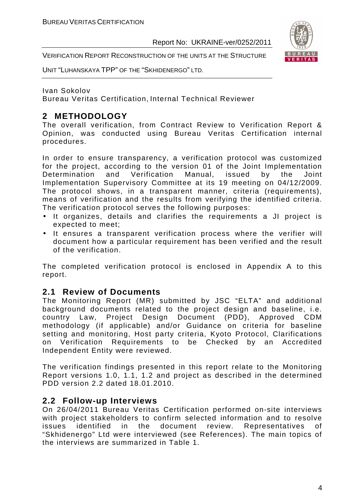

UNIT "LUHANSKAYA TPP" OF THE "SKHIDENERGO" LTD.

Ivan Sokolov

Bureau Veritas Certification, Internal Technical Reviewer

#### **2 METHODOLOGY**

The overall verification, from Contract Review to Verification Report & Opinion, was conducted using Bureau Veritas Certification internal procedures.

In order to ensure transparency, a verification protocol was customized for the project, according to the version 01 of the Joint Implementation<br>Determination and Verification Manual, issued by the Joint Determination and Verification Manual, issued by the Joint Implementation Supervisory Committee at its 19 meeting on 04/12/2009. The protocol shows, in a transparent manner, criteria (requirements), means of verification and the results from verifying the identified criteria. The verification protocol serves the following purposes:

- It organizes, details and clarifies the requirements a JI project is expected to meet;
- It ensures a transparent verification process where the verifier will document how a particular requirement has been verified and the result of the verification.

The completed verification protocol is enclosed in Appendix A to this report.

#### **2.1 Review of Documents**

The Monitoring Report (MR) submitted by JSC "ELTA" and additional background documents related to the project design and baseline, i.e. country Law, Project Design Document (PDD), Approved CDM methodology (if applicable) and/or Guidance on criteria for baseline setting and monitoring, Host party criteria, Kyoto Protocol, Clarifications on Verification Requirements to be Checked by an Accredited Independent Entity were reviewed.

The verification findings presented in this report relate to the Monitoring Report versions 1.0, 1.1, 1.2 and project as described in the determined PDD version 2.2 dated 18.01.2010.

#### **2.2 Follow-up Interviews**

On 26/04/2011 Bureau Veritas Certification performed on-site interviews with project stakeholders to confirm selected information and to resolve issues identified in the document review. Representatives of "Skhidenergo" Ltd were interviewed (see References). The main topics of the interviews are summarized in Table 1.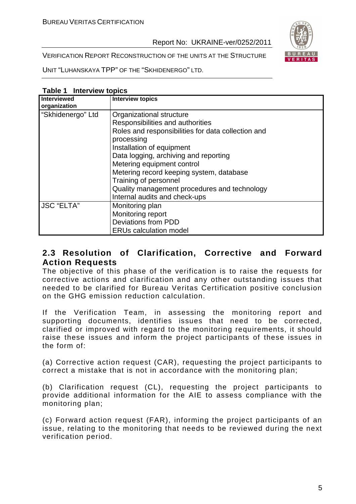VERIFICATION REPORT RECONSTRUCTION OF THE UNITS AT THE STRUCTURE

UNIT "LUHANSKAYA TPP" OF THE "SKHIDENERGO" LTD.

| $I$ and $I$ interview to $I$<br><b>Interviewed</b> | <b>Interview topics</b>                            |
|----------------------------------------------------|----------------------------------------------------|
| organization                                       |                                                    |
| "Skhidenergo" Ltd                                  | Organizational structure                           |
|                                                    | Responsibilities and authorities                   |
|                                                    | Roles and responsibilities for data collection and |
|                                                    | processing                                         |
|                                                    | Installation of equipment                          |
|                                                    | Data logging, archiving and reporting              |
|                                                    | Metering equipment control                         |
|                                                    | Metering record keeping system, database           |
|                                                    | Training of personnel                              |
|                                                    | Quality management procedures and technology       |
|                                                    | Internal audits and check-ups                      |
| <b>JSC "ELTA"</b>                                  | Monitoring plan                                    |
|                                                    | Monitoring report                                  |
|                                                    | Deviations from PDD                                |
|                                                    | <b>ERUs calculation model</b>                      |

#### **Table 1 Interview topics**

#### **2.3 Resolution of Clarification, Corrective and Forward Action Requests**

The objective of this phase of the verification is to raise the requests for corrective actions and clarification and any other outstanding issues that needed to be clarified for Bureau Veritas Certification positive conclusion on the GHG emission reduction calculation.

If the Verification Team, in assessing the monitoring report and supporting documents, identifies issues that need to be corrected, clarified or improved with regard to the monitoring requirements, it should raise these issues and inform the project participants of these issues in the form of:

(a) Corrective action request (CAR), requesting the project participants to correct a mistake that is not in accordance with the monitoring plan;

(b) Clarification request (CL), requesting the project participants to provide additional information for the AIE to assess compliance with the monitoring plan;

(c) Forward action request (FAR), informing the project participants of an issue, relating to the monitoring that needs to be reviewed during the next verification period.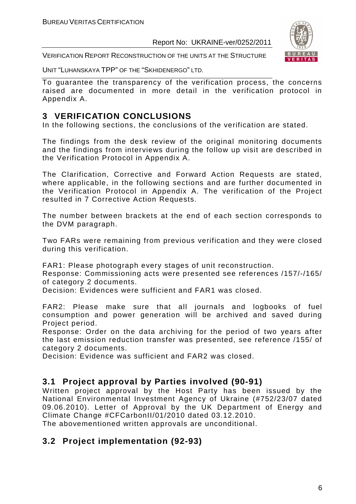

VERIFICATION REPORT RECONSTRUCTION OF THE UNITS AT THE STRUCTURE

UNIT "LUHANSKAYA TPP" OF THE "SKHIDENERGO" LTD.

To guarantee the transparency of the verification process, the concerns raised are documented in more detail in the verification protocol in Appendix A.

#### **3 VERIFICATION CONCLUSIONS**

In the following sections, the conclusions of the verification are stated.

The findings from the desk review of the original monitoring documents and the findings from interviews during the follow up visit are described in the Verification Protocol in Appendix A.

The Clarification, Corrective and Forward Action Requests are stated, where applicable, in the following sections and are further documented in the Verification Protocol in Appendix A. The verification of the Project resulted in 7 Corrective Action Requests.

The number between brackets at the end of each section corresponds to the DVM paragraph.

Two FARs were remaining from previous verification and they were closed during this verification.

FAR1: Please photograph every stages of unit reconstruction.

Response: Commissioning acts were presented see references /157/-/165/ of category 2 documents.

Decision: Evidences were sufficient and FAR1 was closed.

FAR2: Please make sure that all journals and logbooks of fuel consumption and power generation will be archived and saved during Project period.

Response: Order on the data archiving for the period of two years after the last emission reduction transfer was presented, see reference /155/ of category 2 documents.

Decision: Evidence was sufficient and FAR2 was closed.

#### **3.1 Project approval by Parties involved (90-91)**

Written project approval by the Host Party has been issued by the National Environmental Investment Agency of Ukraine (#752/23/07 dated 09.06.2010). Letter of Approval by the UK Department of Energy and Climate Change #CFCarbonII/01/2010 dated 03.12.2010.

The abovementioned written approvals are unconditional.

#### **3.2 Project implementation (92-93)**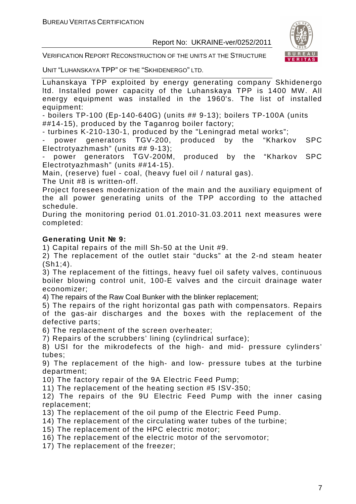

VERIFICATION REPORT RECONSTRUCTION OF THE UNITS AT THE STRUCTURE

UNIT "LUHANSKAYA TPP" OF THE "SKHIDENERGO" LTD.

Luhanskaya TPP exploited by energy generating company Skhidenergo ltd. Installed power capacity of the Luhanskaya TPP is 1400 MW. All energy equipment was installed in the 1960's. The list of installed equipment:

- boilers TP-100 (Еp-140-640G) (units ## 9-13); boilers TP-100A (units ##14-15), produced by the Taganrog boiler factory;

- turbines K-210-130-1, produced by the "Leningrad metal works";

power generators TGV-200, produced by the "Kharkov SPC Electrotyazhmash" (units ## 9-13);

power generators TGV-200M, produced by the "Kharkov SPC Electrotyazhmash" (units ##14-15).

Main, (reserve) fuel - coal, (heavy fuel oil / natural gas).

The Unit #8 is written-off.

Project foresees modernization of the main and the auxiliary equipment of the all power generating units of the TPP according to the attached schedule.

During the monitoring period 01.01.2010-31.03.2011 next measures were completed:

#### **Generating Unit № 9:**

1) Capital repairs of the mill Sh-50 at the Unit #9.

2) The replacement of the outlet stair "ducks" at the 2-nd steam heater  $(Sh1;4)$ .

3) The replacement of the fittings, heavy fuel oil safety valves, continuous boiler blowing control unit, 100-E valves and the circuit drainage water economizer;

4) The repairs of the Raw Coal Bunker with the blinker replacement;

5) The repairs of the right horizontal gas path with compensators. Repairs of the gas-air discharges and the boxes with the replacement of the defective parts;

6) The replacement of the screen overheater;

7) Repairs of the scrubbers' lining (cylindrical surface);

8) USI for the mikrodefects of the high- and mid- pressure cylinders' tubes;

9) The replacement of the high- and low- pressure tubes at the turbine department;

10) The factory repair of the 9A Electric Feed Pump;

11) The replacement of the heating section #5 ISV-350;

12) The repairs of the 9U Electric Feed Pump with the inner casing replacement;

13) The replacement of the oil pump of the Electric Feed Pump.

14) The replacement of the circulating water tubes of the turbine;

15) The replacement of the HPC electric motor;

16) The replacement of the electric motor of the servomotor;

17) The replacement of the freezer;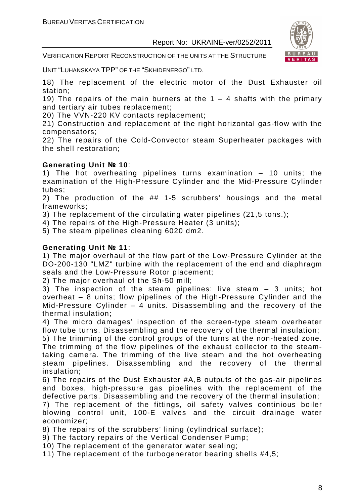VERIFICATION REPORT RECONSTRUCTION OF THE UNITS AT THE STRUCTURE



UNIT "LUHANSKAYA TPP" OF THE "SKHIDENERGO" LTD.

18) The replacement of the electric motor of the Dust Exhauster oil station;

19) The repairs of the main burners at the  $1 - 4$  shafts with the primary and tertiary air tubes replacement;

20) The VVN-220 KV contacts replacement;

21) Construction and replacement of the right horizontal gas-flow with the compensators;

22) The repairs of the Cold-Convector steam Superheater packages with the shell restoration;

#### **Generating Unit № 10**:

1) The hot overheating pipelines turns examination – 10 units; the examination of the High-Pressure Cylinder and the Mid-Pressure Cylinder tubes;

2) The production of the ## 1-5 scrubbers' housings and the metal frameworks;

3) The replacement of the circulating water pipelines (21,5 tons.);

4) The repairs of the High-Pressure Heater (3 units);

5) The steam pipelines cleaning 6020 dm2.

#### **Generating Unit № 11**:

1) The major overhaul of the flow part of the Low-Pressure Cylinder at the DO-200-130 "LMZ" turbine with the replacement of the end and diaphragm seals and the Low-Pressure Rotor placement;

2) The major overhaul of the Sh-50 mill;

3) The inspection of the steam pipelines: live steam – 3 units; hot overheat – 8 units; flow pipelines of the High-Pressure Cylinder and the Mid-Pressure Cylinder – 4 units. Disassembling and the recovery of the thermal insulation;

4) The micro damages' inspection of the screen-type steam overheater flow tube turns. Disassembling and the recovery of the thermal insulation;

5) The trimming of the control groups of the turns at the non-heated zone. The trimming of the flow pipelines of the exhaust collector to the steamtaking camera. The trimming of the live steam and the hot overheating steam pipelines. Disassembling and the recovery of the thermal insulation;

6) The repairs of the Dust Exhauster #A,B outputs of the gas-air pipelines and boxes, high-pressure gas pipelines with the replacement of the defective parts. Disassembling and the recovery of the thermal insulation;

7) The replacement of the fittings, oil safety valves continious boiler blowing control unit, 100-E valves and the circuit drainage water economizer;

8) The repairs of the scrubbers' lining (cylindrical surface);

9) The factory repairs of the Vertical Condenser Pump;

10) The replacement of the generator water sealing;

11) The replacement of the turbogenerator bearing shells #4,5;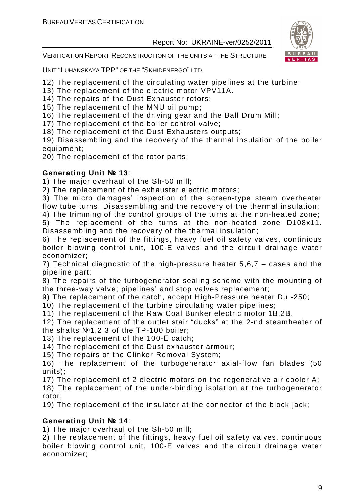

VERIFICATION REPORT RECONSTRUCTION OF THE UNITS AT THE STRUCTURE

UNIT "LUHANSKAYA TPP" OF THE "SKHIDENERGO" LTD.

- 12) The replacement of the circulating water pipelines at the turbine;
- 13) The replacement of the electric motor VPV11А.
- 14) The repairs of the Dust Exhauster rotors;
- 15) The replacement of the MNU oil pump;
- 16) The replacement of the driving gear and the Ball Drum Mill;
- 17) The replacement of the boiler control valve;
- 18) The replacement of the Dust Exhausters outputs;
- 19) Disassembling and the recovery of the thermal insulation of the boiler equipment;
- 20) The replacement of the rotor parts;

#### **Generating Unit № 13**:

1) The major overhaul of the Sh-50 mill;

2) The replacement of the exhauster electric motors;

3) The micro damages' inspection of the screen-type steam overheater flow tube turns. Disassembling and the recovery of the thermal insulation;

4) The trimming of the control groups of the turns at the non-heated zone;

5) The replacement of the turns at the non-heated zone D108х11. Disassembling and the recovery of the thermal insulation;

6) The replacement of the fittings, heavy fuel oil safety valves, continious boiler blowing control unit, 100-E valves and the circuit drainage water economizer;

7) Technical diagnostic of the high-pressure heater 5,6,7 – cases and the pipeline part;

8) The repairs of the turbogenerator sealing scheme with the mounting of the three-way valve; pipelines' and stop valves replacement;

9) The replacement of the catch, accept High-Pressure heater Du -250;

- 10) The replacement of the turbine circulating water pipelines;
- 11) The replacement of the Raw Coal Bunker electric motor 1B,2B.

12) The replacement of the outlet stair "ducks" at the 2-nd steamheater of the shafts №1,2,3 of the ТP-100 boiler;

13) The replacement of the 100-Е catch;

- 14) The replacement of the Dust exhauster armour;
- 15) The repairs of the Clinker Removal System;

16) The replacement of the turbogenerator axial-flow fan blades (50 units);

17) The replacement of 2 electric motors on the regenerative air cooler A;

18) The replacement of the under-binding isolation at the turbogenerator rotor;

19) The replacement of the insulator at the connector of the block jack;

#### **Generating Unit № 14**:

1) The major overhaul of the Sh-50 mill;

2) The replacement of the fittings, heavy fuel oil safety valves, continuous boiler blowing control unit, 100-E valves and the circuit drainage water economizer;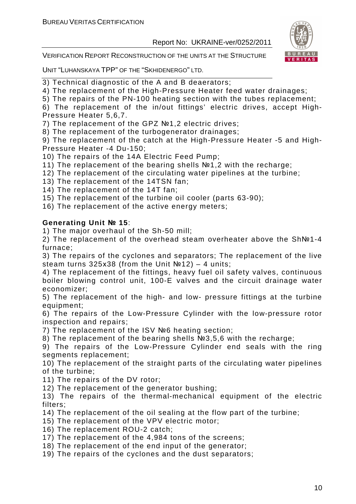

VERIFICATION REPORT RECONSTRUCTION OF THE UNITS AT THE STRUCTURE

UNIT "LUHANSKAYA TPP" OF THE "SKHIDENERGO" LTD.

3) Technical diagnostic of the A and B deaerators;

4) The replacement of the High-Pressure Heater feed water drainages;

5) The repairs of the PN-100 heating section with the tubes replacement;

6) The replacement of the in/out fittings' electric drives, accept High-Pressure Heater 5,6,7.

7) The replacement of the GPZ №1,2 electric drives;

8) The replacement of the turbogenerator drainages;

9) The replacement of the catch at the High-Pressure Heater -5 and High-Pressure Heater -4 Du-150;

10) The repairs of the 14A Electric Feed Pump;

11) The replacement of the bearing shells №1,2 with the recharge;

12) The replacement of the circulating water pipelines at the turbine;

13) The replacement of the 14TSN fan;

14) The replacement of the 14T fan;

15) The replacement of the turbine oil cooler (parts 63-90);

16) The replacement of the active energy meters;

#### **Generating Unit № 15**:

1) The major overhaul of the Sh-50 mill;

2) The replacement of the overhead steam overheater above the Sh№1-4 furnace;

3) The repairs of the cyclones and separators; The replacement of the live steam turns  $325x38$  (from the Unit  $N<sup>2</sup>12$ ) – 4 units;

4) The replacement of the fittings, heavy fuel oil safety valves, continuous boiler blowing control unit, 100-E valves and the circuit drainage water economizer;

5) The replacement of the high- and low- pressure fittings at the turbine equipment:

6) The repairs of the Low-Pressure Cylinder with the low-pressure rotor inspection and repairs;

7) The replacement of the ISV №6 heating section;

8) The replacement of the bearing shells №3,5,6 with the recharge;

9) The repairs of the Low-Pressure Cylinder end seals with the ring segments replacement;

10) The replacement of the straight parts of the circulating water pipelines of the turbine;

11) The repairs of the DV rotor;

12) The replacement of the generator bushing;

13) The repairs of the thermal-mechanical equipment of the electric filters;

14) The replacement of the oil sealing at the flow part of the turbine;

15) The replacement of the VPV electric motor;

16) The replacement ROU-2 catch;

17) The replacement of the 4,984 tons of the screens;

18) The replacement of the end input of the generator;

19) The repairs of the cyclones and the dust separators;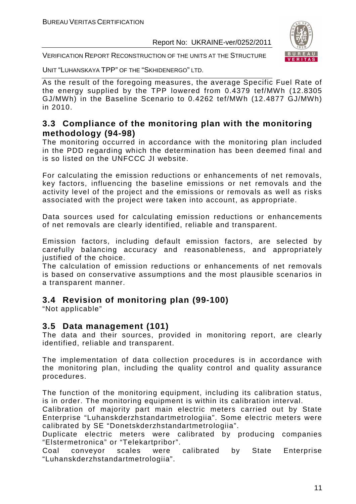

VERIFICATION REPORT RECONSTRUCTION OF THE UNITS AT THE STRUCTURE

UNIT "LUHANSKAYA TPP" OF THE "SKHIDENERGO" LTD.

As the result of the foregoing measures, the average Specific Fuel Rate of the energy supplied by the TPP lowered from 0.4379 tef/MWh (12.8305 GJ/MWh) in the Baseline Scenario to 0.4262 tef/MWh (12.4877 GJ/MWh) in 2010.

#### **3.3 Compliance of the monitoring plan with the monitoring methodology (94-98)**

The monitoring occurred in accordance with the monitoring plan included in the PDD regarding which the determination has been deemed final and is so listed on the UNFCCC JI website.

For calculating the emission reductions or enhancements of net removals, key factors, influencing the baseline emissions or net removals and the activity level of the project and the emissions or removals as well as risks associated with the project were taken into account, as appropriate.

Data sources used for calculating emission reductions or enhancements of net removals are clearly identified, reliable and transparent.

Emission factors, including default emission factors, are selected by carefully balancing accuracy and reasonableness, and appropriately justified of the choice.

The calculation of emission reductions or enhancements of net removals is based on conservative assumptions and the most plausible scenarios in a transparent manner.

#### **3.4 Revision of monitoring plan (99-100)**

"Not applicable"

#### **3.5 Data management (101)**

The data and their sources, provided in monitoring report, are clearly identified, reliable and transparent.

The implementation of data collection procedures is in accordance with the monitoring plan, including the quality control and quality assurance procedures.

The function of the monitoring equipment, including its calibration status, is in order. The monitoring equipment is within its calibration interval.

Calibration of majority part main electric meters carried out by State Enterprise "Luhanskderzhstandartmetrologiia". Some electric meters were calibrated by SE "Donetskderzhstandartmetrologiia".

Duplicate electric meters were calibrated by producing companies "Elstermetronica" or "Telekartpribor".

Coal conveyor scales were calibrated by State Enterprise "Luhanskderzhstandartmetrologiia".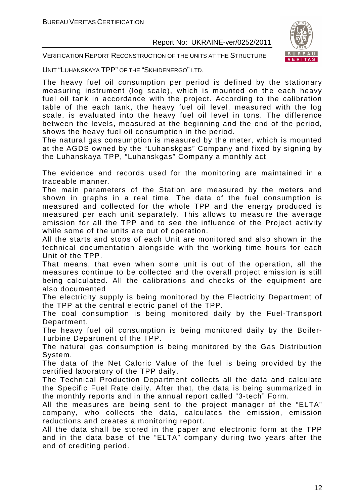

VERIFICATION REPORT RECONSTRUCTION OF THE UNITS AT THE STRUCTURE

UNIT "LUHANSKAYA TPP" OF THE "SKHIDENERGO" LTD.

The heavy fuel oil consumption per period is defined by the stationary measuring instrument (log scale), which is mounted on the each heavy fuel oil tank in accordance with the project. According to the calibration table of the each tank, the heavy fuel oil level, measured with the log scale, is evaluated into the heavy fuel oil level in tons. The difference between the levels, measured at the beginning and the end of the period, shows the heavy fuel oil consumption in the period.

The natural gas consumption is measured by the meter, which is mounted at the AGDS owned by the "Luhanskgas" Company and fixed by signing by the Luhanskaya TPP, "Luhanskgas" Company a monthly act

The evidence and records used for the monitoring are maintained in a traceable manner.

The main parameters of the Station are measured by the meters and shown in graphs in a real time. The data of the fuel consumption is measured and collected for the whole TPP and the energy produced is measured per each unit separately. This allows to measure the average emission for all the TPP and to see the influence of the Project activity while some of the units are out of operation.

All the starts and stops of each Unit are monitored and also shown in the technical documentation alongside with the working time hours for each Unit of the TPP.

That means, that even when some unit is out of the operation, all the measures continue to be collected and the overall project emission is still being calculated. All the calibrations and checks of the equipment are also documented

The electricity supply is being monitored by the Electricity Department of the TPP at the central electric panel of the TPP.

The coal consumption is being monitored daily by the Fuel-Transport Department.

The heavy fuel oil consumption is being monitored daily by the Boiler-Turbine Department of the TPP.

The natural gas consumption is being monitored by the Gas Distribution System.

The data of the Net Caloric Value of the fuel is being provided by the certified laboratory of the TPP daily.

The Technical Production Department collects all the data and calculate the Specific Fuel Rate daily. After that, the data is being summarized in the monthly reports and in the annual report called "3-tech" Form.

All the measures are being sent to the project manager of the "ELTA" company, who collects the data, calculates the emission, emission reductions and creates a monitoring report.

All the data shall be stored in the paper and electronic form at the TPP and in the data base of the "ELTA" company during two years after the end of crediting period.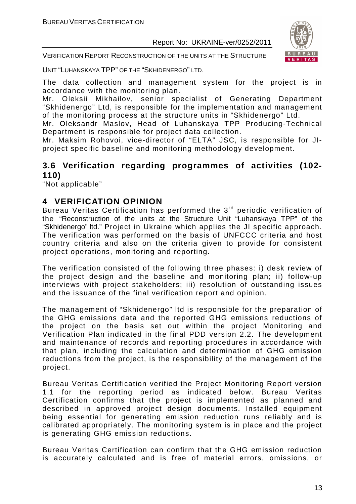VERIFICATION REPORT RECONSTRUCTION OF THE UNITS AT THE STRUCTURE



UNIT "LUHANSKAYA TPP" OF THE "SKHIDENERGO" LTD.

The data collection and management system for the project is in accordance with the monitoring plan.

Mr. Oleksii Mikhailov, senior specialist of Generating Department "Skhidenergo" Ltd, is responsible for the implementation and management of the monitoring process at the structure units in "Skhidenergo" Ltd.

Mr. Oleksandr Maslov, Head of Luhanskaya TPP Producing-Technical Department is responsible for project data collection.

Mr. Maksim Rohovoi, vice-director of "ELTA" JSC, is responsible for JIproject specific baseline and monitoring methodology development.

#### **3.6 Verification regarding programmes of activities (102- 110)**

"Not applicable"

#### **4 VERIFICATION OPINION**

Bureau Veritas Certification has performed the 3<sup>rd</sup> periodic verification of the "Reconstruction of the units at the Structure Unit "Luhanskaya TPP" of the "Skhidenergo" ltd." Project in Ukraine which applies the JI specific approach. The verification was performed on the basis of UNFCCC criteria and host country criteria and also on the criteria given to provide for consistent project operations, monitoring and reporting.

The verification consisted of the following three phases: i) desk review of the project design and the baseline and monitoring plan; ii) follow-up interviews with project stakeholders; iii) resolution of outstanding issues and the issuance of the final verification report and opinion.

The management of "Skhidenergo" ltd is responsible for the preparation of the GHG emissions data and the reported GHG emissions reductions of the project on the basis set out within the project Monitoring and Verification Plan indicated in the final PDD version 2.2. The development and maintenance of records and reporting procedures in accordance with that plan, including the calculation and determination of GHG emission reductions from the project, is the responsibility of the management of the project.

Bureau Veritas Certification verified the Project Monitoring Report version 1.1 for the reporting period as indicated below. Bureau Veritas Certification confirms that the project is implemented as planned and described in approved project design documents. Installed equipment being essential for generating emission reduction runs reliably and is calibrated appropriately. The monitoring system is in place and the project is generating GHG emission reductions.

Bureau Veritas Certification can confirm that the GHG emission reduction is accurately calculated and is free of material errors, omissions, or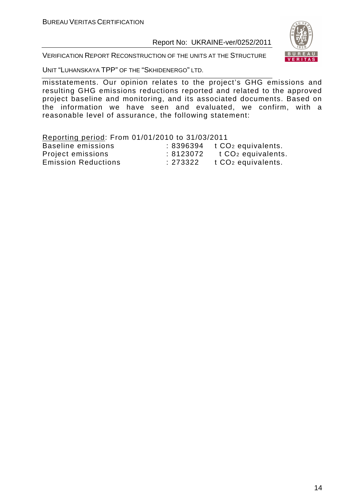

VERIFICATION REPORT RECONSTRUCTION OF THE UNITS AT THE STRUCTURE

UNIT "LUHANSKAYA TPP" OF THE "SKHIDENERGO" LTD.

misstatements. Our opinion relates to the project's GHG emissions and resulting GHG emissions reductions reported and related to the approved project baseline and monitoring, and its associated documents. Based on the information we have seen and evaluated, we confirm, with a reasonable level of assurance, the following statement:

#### Reporting period: From 01/01/2010 to 31/03/2011

| the contract of the contract of the contract of the contract of the contract of the contract of the contract of<br>Baseline emissions |          | $: 8396394$ t $CO2$ equivalents. |
|---------------------------------------------------------------------------------------------------------------------------------------|----------|----------------------------------|
| Project emissions                                                                                                                     | :8123072 | t CO <sub>2</sub> equivalents.   |
| <b>Emission Reductions</b>                                                                                                            | : 273322 | t CO <sub>2</sub> equivalents.   |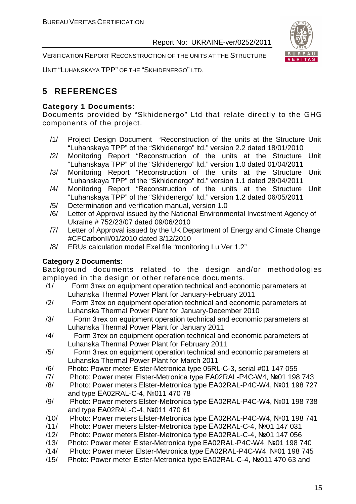VERIFICATION REPORT RECONSTRUCTION OF THE UNITS AT THE STRUCTURE



UNIT "LUHANSKAYA TPP" OF THE "SKHIDENERGO" LTD.

#### **5 REFERENCES**

#### **Category 1 Documents:**

Documents provided by "Skhidenergo" Ltd that relate directly to the GHG components of the project.

- /1/ Project Design Document "Reconstruction of the units at the Structure Unit "Luhanskaya TPP" of the "Skhidenergo" ltd." version 2.2 dated 18/01/2010
- /2/ Monitoring Report "Reconstruction of the units at the Structure Unit "Luhanskaya TPP" of the "Skhidenergo" ltd." version 1.0 dated 01/04/2011
- /3/ Monitoring Report "Reconstruction of the units at the Structure Unit "Luhanskaya TPP" of the "Skhidenergo" ltd." version 1.1 dated 28/04/2011
- /4/ Monitoring Report "Reconstruction of the units at the Structure Unit "Luhanskaya TPP" of the "Skhidenergo" ltd." version 1.2 dated 06/05/2011
- /5/ Determination and verification manual, version 1.0
- /6/ Letter of Approval issued by the National Environmental Investment Agency of Ukraine # 752/23/07 dated 09/06/2010
- /7/ Letter of Approval issued by the UK Department of Energy and Climate Change #CFCarbonII/01/2010 dated 3/12/2010
- /8/ ERUs calculation model Exel file "monitoring Lu Ver 1.2"

#### **Category 2 Documents:**

Background documents related to the design and/or methodologies employed in the design or other reference documents.

- /1/ Form 3тех on equipment operation technical and economic parameters at Luhanska Thermal Power Plant for January-February 2011
- /2/ Form 3тех on equipment operation technical and economic parameters at Luhanska Thermal Power Plant for January-December 2010
- /3/ Form 3тех on equipment operation technical and economic parameters at Luhanska Thermal Power Plant for January 2011
- /4/ Form 3тех on equipment operation technical and economic parameters at Luhanska Thermal Power Plant for February 2011
- /5/ Form 3тех on equipment operation technical and economic parameters at Luhanska Thermal Power Plant for March 2011
- /6/ Photo: Power meter Elster-Metronica type 05RL-С-3, serial #01 147 055
- /7/ Photo: Power meter Elster-Metronica type ЕА02RAL-Р4C-W4, №01 198 743
- /8/ Photo: Power meters Elster-Metronica type ЕА02RAL-P4C-W4, №01 198 727 and type ЕА02RAL-C-4, №011 470 78
- /9/ Photo: Power meters Elster-Metronica type ЕА02RAL-P4C-W4, №01 198 738 and type ЕА02RAL-C-4, №011 470 61
- /10/ Photo: Power meters Elster-Metronica type ЕА02RAL-P4C-W4, №01 198 741
- /11/ Photo: Power meters Elster-Metronica type ЕА02RAL-C-4, №01 147 031
- /12/ Photo: Power meters Elster-Metronica type ЕА02RAL-C-4, №01 147 056
- /13/ Photo: Power meter Elster-Metronica type ЕА02RAL-P4C-W4, №01 198 740
- /14/ Photo: Power meter Elster-Metronica type ЕА02RAL-P4C-W4, №01 198 745
- /15/ Photo: Power meter Elster-Metronica type ЕА02RAL-C-4, №011 470 63 and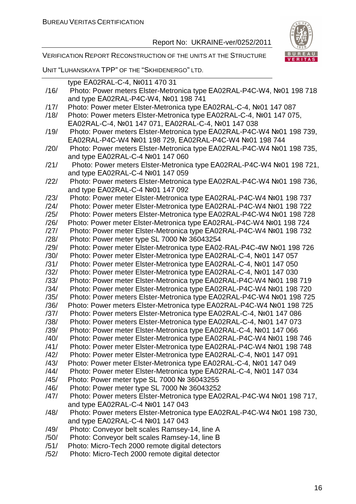

VERIFICATION REPORT RECONSTRUCTION OF THE UNITS AT THE STRUCTURE

UNIT "LUHANSKAYA TPP" OF THE "SKHIDENERGO" LTD.

|      | type EA02RAL-C-4, Nº011 470 31                                         |
|------|------------------------------------------------------------------------|
| /16/ | Photo: Power meters Elster-Metronica type EA02RAL-P4C-W4, Nº01 198 718 |
|      | and type EA02RAL-P4C-W4, Nº01 198 741                                  |
| /17/ | Photo: Power meter Elster-Metronica type EA02RAL-C-4, №01 147 087      |
| /18/ | Photo: Power meters Elster-Metronica type EA02RAL-C-4, №01 147 075,    |
|      | EA02RAL-C-4, Nº01 147 071, EA02RAL-C-4, Nº01 147 038                   |
| /19/ | Photo: Power meters Elster-Metronica type EA02RAL-P4C-W4 №01 198 739,  |
|      | EA02RAL-P4C-W4 №01 198 729, EA02RAL-P4C-W4 №01 198 744                 |
| /20/ | Photo: Power meters Elster-Metronica type EA02RAL-P4C-W4 №01 198 735,  |
|      | and type EA02RAL-C-4 №01 147 060                                       |
| /21/ | Photo: Power meters Elster-Metronica type EA02RAL-P4C-W4 №01 198 721,  |
|      | and type EA02RAL-C-4 Nº01 147 059                                      |
| /22/ | Photo: Power meters Elster-Metronica type EA02RAL-P4C-W4 №01 198 736,  |
|      | and type EA02RAL-C-4 №01 147 092                                       |
| /23/ | Photo: Power meter Elster-Metronica type EA02RAL-P4C-W4 Nº01 198 737   |
| /24/ | Photo: Power meter Elster-Metronica type EA02RAL-P4C-W4 Nº01 198 722   |
| /25/ | Photo: Power meters Elster-Metronica type EA02RAL-P4C-W4 №01 198 728   |
| /26/ | Photo: Power meter Elster-Metronica type EA02RAL-P4C-W4 Nº01 198 724   |
| /27/ | Photo: Power meter Elster-Metronica type EA02RAL-P4C-W4 Nº01 198 732   |
| /28/ | Photo: Power meter type SL 7000 № 36043254                             |
| /29/ | Photo: Power meter Elster-Metronica type EA02-RAL-P4C-4W №01 198 726   |
| /30/ | Photo: Power meter Elster-Metronica type EA02RAL-C-4, №01 147 057      |
| /31/ | Photo: Power meter Elster-Metronica type EA02RAL-C-4, №01 147 050      |
| /32/ | Photo: Power meter Elster-Metronica type EA02RAL-C-4, №01 147 030      |
| /33/ | Photo: Power meter Elster-Metronica type EA02RAL-P4C-W4 Nº01 198 719   |
| /34/ | Photo: Power meter Elster-Metronica type EA02RAL-P4C-W4 Nº01 198 720   |
| /35/ | Photo: Power meters Elster-Metronica type EA02RAL-P4C-W4 №01 198 725   |
| /36/ | Photo: Power meters Elster-Metronica type EA02RAL-P4C-W4 №01 198 725   |
| /37/ | Photo: Power meters Elster-Metronica type EA02RAL-C-4, №01 147 086     |
| /38/ | Photo: Power meters Elster-Metronica type EA02RAL-C-4, №01 147 073     |
| /39/ | Photo: Power meter Elster-Metronica type EA02RAL-C-4, Nº01 147 066     |
| /40/ | Photo: Power meter Elster-Metronica type EA02RAL-P4C-W4 Nº01 198 746   |
| /41/ | Photo: Power meter Elster-Metronica type EA02RAL-P4C-W4 Nº01 198 748   |
| /42/ | Photo: Power meter Elster-Metronica type EA02RAL-C-4, №01 147 091      |
| /43/ | Photo: Power meter Elster-Metronica type EA02RAL-C-4, №01 147 049      |
| /44/ | Photo: Power meter Elster-Metronica type EA02RAL-C-4, №01 147 034      |
| /45/ | Photo: Power meter type SL 7000 № 36043255                             |
| /46/ | Photo: Power meter type SL 7000 № 36043252                             |
| /47/ | Photo: Power meters Elster-Metronica type EA02RAL-P4C-W4 №01 198 717,  |
|      | and type EA02RAL-C-4 №01 147 043                                       |
| /48/ | Photo: Power meters Elster-Metronica type EA02RAL-P4C-W4 №01 198 730,  |
|      | and type EA02RAL-C-4 №01 147 043                                       |
| /49/ | Photo: Conveyor belt scales Ramsey-14, line A                          |
| /50/ | Photo: Conveyor belt scales Ramsey-14, line B                          |
| /51/ | Photo: Micro-Tech 2000 remote digital detectors                        |
| /52/ | Photo: Micro-Tech 2000 remote digital detector                         |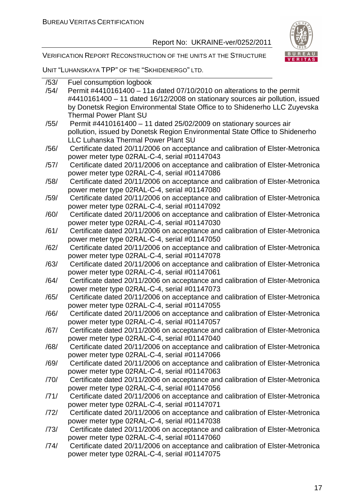

VERIFICATION REPORT RECONSTRUCTION OF THE UNITS AT THE STRUCTURE

UNIT "LUHANSKAYA TPP" OF THE "SKHIDENERGO" LTD.

| /53/ | Fuel consumption logbook                                                       |
|------|--------------------------------------------------------------------------------|
| /54/ | Permit #4410161400 - 11a dated 07/10/2010 on alterations to the permit         |
|      | #4410161400 - 11 dated 16/12/2008 on stationary sources air pollution, issued  |
|      | by Donetsk Region Environmental State Office to to Shidenerho LLC Zuyevska     |
|      | <b>Thermal Power Plant SU</b>                                                  |
| /55/ | Permit #4410161400 - 11 dated 25/02/2009 on stationary sources air             |
|      | pollution, issued by Donetsk Region Environmental State Office to Shidenerho   |
|      | <b>LLC Luhanska Thermal Power Plant SU</b>                                     |
| /56/ | Certificate dated 20/11/2006 on acceptance and calibration of Elster-Metronica |
|      | power meter type 02RAL-C-4, serial #01147043                                   |
| /57/ | Certificate dated 20/11/2006 on acceptance and calibration of Elster-Metronica |
|      | power meter type 02RAL-C-4, serial #01147086                                   |
| /58/ | Certificate dated 20/11/2006 on acceptance and calibration of Elster-Metronica |
|      | power meter type 02RAL-C-4, serial #01147080                                   |
| /59/ | Certificate dated 20/11/2006 on acceptance and calibration of Elster-Metronica |
|      | power meter type 02RAL-C-4, serial #01147092                                   |
| /60/ | Certificate dated 20/11/2006 on acceptance and calibration of Elster-Metronica |
|      | power meter type 02RAL-C-4, serial #01147030                                   |
| /61/ | Certificate dated 20/11/2006 on acceptance and calibration of Elster-Metronica |
|      | power meter type 02RAL-C-4, serial #01147050                                   |
| /62/ | Certificate dated 20/11/2006 on acceptance and calibration of Elster-Metronica |
|      | power meter type 02RAL-C-4, serial #01147078                                   |
| /63/ | Certificate dated 20/11/2006 on acceptance and calibration of Elster-Metronica |
|      | power meter type 02RAL-C-4, serial #01147061                                   |
| /64/ | Certificate dated 20/11/2006 on acceptance and calibration of Elster-Metronica |
|      | power meter type 02RAL-C-4, serial #01147073                                   |
| /65/ | Certificate dated 20/11/2006 on acceptance and calibration of Elster-Metronica |
|      | power meter type 02RAL-C-4, serial #01147055                                   |
| /66/ | Certificate dated 20/11/2006 on acceptance and calibration of Elster-Metronica |
|      | power meter type 02RAL-C-4, serial #01147057                                   |
| /67/ | Certificate dated 20/11/2006 on acceptance and calibration of Elster-Metronica |
|      | power meter type 02RAL-C-4, serial #01147040                                   |
| /68/ | Certificate dated 20/11/2006 on acceptance and calibration of Elster-Metronica |
|      | power meter type 02RAL-C-4, serial #01147066                                   |
| /69/ | Certificate dated 20/11/2006 on acceptance and calibration of Elster-Metronica |
|      | power meter type 02RAL-C-4, serial #01147063                                   |
| /70/ | Certificate dated 20/11/2006 on acceptance and calibration of Elster-Metronica |
|      | power meter type 02RAL-C-4, serial #01147056                                   |
| /71/ | Certificate dated 20/11/2006 on acceptance and calibration of Elster-Metronica |
|      | power meter type 02RAL-C-4, serial #01147071                                   |
| /72/ | Certificate dated 20/11/2006 on acceptance and calibration of Elster-Metronica |
|      | power meter type 02RAL-C-4, serial #01147038                                   |
| /73/ | Certificate dated 20/11/2006 on acceptance and calibration of Elster-Metronica |
|      | power meter type 02RAL-C-4, serial #01147060                                   |
| /74/ | Certificate dated 20/11/2006 on acceptance and calibration of Elster-Metronica |

power meter type 02RАL-С-4, serial #01147075

17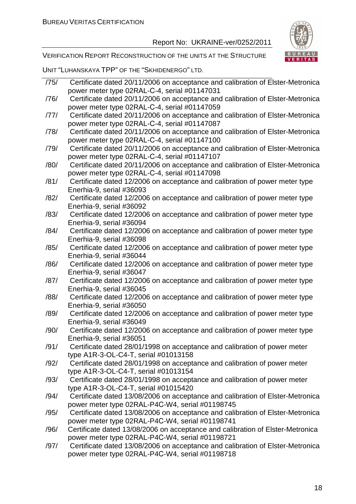

VERIFICATION REPORT RECONSTRUCTION OF THE UNITS AT THE STRUCTURE

UNIT "LUHANSKAYA TPP" OF THE "SKHIDENERGO" LTD.

/75/ Certificate dated 20/11/2006 on acceptance and calibration of Elster-Metronica power meter type 02RАL-С-4, serial #01147031 /76/ Certificate dated 20/11/2006 on acceptance and calibration of Elster-Metronica power meter type 02RАL-С-4, serial #01147059 /77/ Certificate dated 20/11/2006 on acceptance and calibration of Elster-Metronica power meter type 02RАL-С-4, serial #01147087 /78/ Certificate dated 20/11/2006 on acceptance and calibration of Elster-Metronica power meter type 02RАL-С-4, serial #01147100 /79/ Certificate dated 20/11/2006 on acceptance and calibration of Elster-Metronica power meter type 02RАL-С-4, serial #01147107 /80/ Certificate dated 20/11/2006 on acceptance and calibration of Elster-Metronica power meter type 02RАL-С-4, serial #01147098 /81/ Certificate dated 12/2006 on acceptance and calibration of power meter type Enerhia-9, serial #36093 /82/ Certificate dated 12/2006 on acceptance and calibration of power meter type Enerhia-9, serial #36092 /83/ Certificate dated 12/2006 on acceptance and calibration of power meter type Enerhia-9, serial #36094 /84/ Certificate dated 12/2006 on acceptance and calibration of power meter type Enerhia-9, serial #36098 /85/ Certificate dated 12/2006 on acceptance and calibration of power meter type Enerhia-9, serial #36044 /86/ Certificate dated 12/2006 on acceptance and calibration of power meter type Enerhia-9, serial #36047 /87/ Certificate dated 12/2006 on acceptance and calibration of power meter type Enerhia-9, serial #36045 /88/ Certificate dated 12/2006 on acceptance and calibration of power meter type Enerhia-9, serial #36050 /89/ Certificate dated 12/2006 on acceptance and calibration of power meter type Enerhia-9, serial #36049 /90/ Certificate dated 12/2006 on acceptance and calibration of power meter type Enerhia-9, serial #36051 /91/ Certificate dated 28/01/1998 on acceptance and calibration of power meter type A1R-3-OL-C4-T, serial #01013158 /92/ Certificate dated 28/01/1998 on acceptance and calibration of power meter type A1R-3-OL-C4-T, serial #01013154 /93/ Certificate dated 28/01/1998 on acceptance and calibration of power meter type A1R-3-OL-C4-T, serial #01015420 /94/ Certificate dated 13/08/2006 on acceptance and calibration of Elster-Metronica power meter type 02RАL-P4С-W4, serial #01198745 /95/ Certificate dated 13/08/2006 on acceptance and calibration of Elster-Metronica power meter type 02RАL-P4С-W4, serial #01198741 /96/ Certificate dated 13/08/2006 on acceptance and calibration of Elster-Metronica power meter type 02RАL-P4С-W4, serial #01198721 /97/ Certificate dated 13/08/2006 on acceptance and calibration of Elster-Metronica power meter type 02RАL-P4С-W4, serial #01198718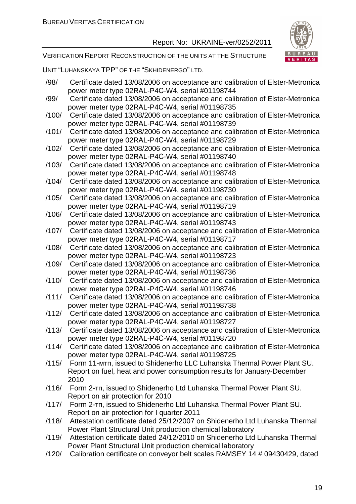

VERIFICATION REPORT RECONSTRUCTION OF THE UNITS AT THE STRUCTURE

UNIT "LUHANSKAYA TPP" OF THE "SKHIDENERGO" LTD.

| /98/  | Certificate dated 13/08/2006 on acceptance and calibration of Elster-Metronica       |
|-------|--------------------------------------------------------------------------------------|
|       | power meter type 02RAL-P4C-W4, serial #01198744                                      |
| /99/  | Certificate dated 13/08/2006 on acceptance and calibration of Elster-Metronica       |
|       | power meter type 02RAL-P4C-W4, serial #01198735                                      |
| /100/ | Certificate dated 13/08/2006 on acceptance and calibration of Elster-Metronica       |
|       | power meter type 02RAL-P4C-W4, serial #01198739                                      |
| /101/ | Certificate dated 13/08/2006 on acceptance and calibration of Elster-Metronica       |
|       | power meter type 02RAL-P4C-W4, serial #01198729                                      |
| /102/ | Certificate dated 13/08/2006 on acceptance and calibration of Elster-Metronica       |
|       | power meter type 02RAL-P4C-W4, serial #01198740                                      |
| /103/ | Certificate dated 13/08/2006 on acceptance and calibration of Elster-Metronica       |
|       | power meter type 02RAL-P4C-W4, serial #01198748                                      |
| /104/ | Certificate dated 13/08/2006 on acceptance and calibration of Elster-Metronica       |
|       | power meter type 02RAL-P4C-W4, serial #01198730                                      |
| /105/ | Certificate dated 13/08/2006 on acceptance and calibration of Elster-Metronica       |
|       | power meter type 02RAL-P4C-W4, serial #01198719                                      |
| /106/ | Certificate dated 13/08/2006 on acceptance and calibration of Elster-Metronica       |
|       | power meter type 02RAL-P4C-W4, serial #01198743                                      |
| /107/ | Certificate dated 13/08/2006 on acceptance and calibration of Elster-Metronica       |
|       | power meter type 02RAL-P4C-W4, serial #01198717                                      |
| /108/ | Certificate dated 13/08/2006 on acceptance and calibration of Elster-Metronica       |
|       | power meter type 02RAL-P4C-W4, serial #01198723                                      |
| /109/ | Certificate dated 13/08/2006 on acceptance and calibration of Elster-Metronica       |
|       | power meter type 02RAL-P4C-W4, serial #01198736                                      |
| /110/ | Certificate dated 13/08/2006 on acceptance and calibration of Elster-Metronica       |
|       | power meter type 02RAL-P4C-W4, serial #01198746                                      |
| /111/ | Certificate dated 13/08/2006 on acceptance and calibration of Elster-Metronica       |
|       | power meter type 02RAL-P4C-W4, serial #01198738                                      |
| /112/ | Certificate dated 13/08/2006 on acceptance and calibration of Elster-Metronica       |
|       | power meter type 02RAL-P4C-W4, serial #01198727                                      |
| /113/ | Certificate dated 13/08/2006 on acceptance and calibration of Elster-Metronica       |
|       | power meter type 02RAL-P4C-W4, serial #01198720                                      |
|       | /114/ Certificate dated 13/08/2006 on acceptance and calibration of Elster-Metronica |
|       | power meter type 02RAL-P4C-W4, serial #01198725                                      |
| /115/ | Form 11-мтп, issued to Shidenerho LLC Luhanska Thermal Power Plant SU.               |
|       | Report on fuel, heat and power consumption results for January-December              |
|       | 2010                                                                                 |
| /116/ | Form 2-Tn, issued to Shidenerho Ltd Luhanska Thermal Power Plant SU.                 |
|       | Report on air protection for 2010                                                    |
| /117/ | Form 2-Th, issued to Shidenerho Ltd Luhanska Thermal Power Plant SU.                 |
|       | Report on air protection for I quarter 2011                                          |
| /118/ | Attestation certificate dated 25/12/2007 on Shidenerho Ltd Luhanska Thermal          |
|       | Power Plant Structural Unit production chemical laboratory                           |
| /119/ | Attestation certificate dated 24/12/2010 on Shidenerho Ltd Luhanska Thermal          |
|       | Power Plant Structural Unit production chemical laboratory                           |
| /120/ | Calibration certificate on conveyor belt scales RAMSEY 14 # 09430429, dated          |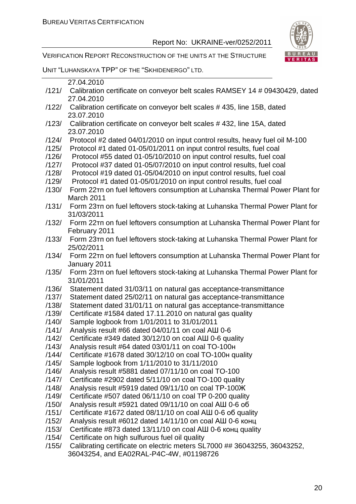VERIFICATION REPORT RECONSTRUCTION OF THE UNITS AT THE STRUCTURE



UNIT "LUHANSKAYA TPP" OF THE "SKHIDENERGO" LTD.

| 27.04.2010 |  |
|------------|--|
|            |  |

- /121/ Calibration certificate on conveyor belt scales RAMSEY 14 # 09430429, dated 27.04.2010
- /122/ Calibration certificate on conveyor belt scales # 435, line 15B, dated 23.07.2010
- /123/ Calibration certificate on conveyor belt scales # 432, line 15A, dated 23.07.2010
- /124/ Protocol #2 dated 04/01/2010 on input control results, heavy fuel oil M-100
- /125/ Protocol #1 dated 01-05/01/2011 on input control results, fuel coal
- /126/ Protocol #55 dated 01-05/10/2010 on input control results, fuel coal
- /127/ Protocol #37 dated 01-05/07/2010 on input control results, fuel coal
- /128/ Protocol #19 dated 01-05/04/2010 on input control results, fuel coal
- /129/ Protocol #1 dated 01-05/01/2010 on input control results, fuel coal
- /130/ Form 22тп on fuel leftovers consumption at Luhanska Thermal Power Plant for March 2011
- /131/ Form 23тп on fuel leftovers stock-taking at Luhanska Thermal Power Plant for 31/03/2011
- /132/ Form 22тп on fuel leftovers consumption at Luhanska Thermal Power Plant for February 2011
- /133/ Form 23тп on fuel leftovers stock-taking at Luhanska Thermal Power Plant for 25/02/2011
- /134/ Form 22тп on fuel leftovers consumption at Luhanska Thermal Power Plant for January 2011
- /135/ Form 23тп on fuel leftovers stock-taking at Luhanska Thermal Power Plant for 31/01/2011
- /136/ Statement dated 31/03/11 on natural gas acceptance-transmittance
- /137/ Statement dated 25/02/11 on natural gas acceptance-transmittance
- /138/ Statement dated 31/01/11 on natural gas acceptance-transmittance
- /139/ Certificate #1584 dated 17.11.2010 on natural gas quality
- /140/ Sample logbook from 1/01/2011 to 31/01/2011
- /141/ Analysis result #66 dated 04/01/11 on coal AШ 0-6
- /142/ Certificate #349 dated 30/12/10 on coal AШ 0-6 quality
- /143/ Analysis result #64 dated 03/01/11 on coal TO-100н
- /144/ Certificate #1678 dated 30/12/10 on coal TO-100н quality
- /145/ Sample logbook from 1/11/2010 to 31/11/2010
- /146/ Analysis result #5881 dated 07/11/10 on coal TO-100
- /147/ Certificate #2902 dated 5/11/10 on coal TO-100 quality
- /148/ Analysis result #5919 dated 09/11/10 on coal TР-100Ж
- /149/ Certificate #507 dated 06/11/10 on coal TР 0-200 quality
- /150/ Analysis result #5921 dated 09/11/10 on coal АШ 0-6 об
- /151/ Certificate #1672 dated 08/11/10 on coal АШ 0-6 об quality
- /152/ Analysis result #6012 dated 14/11/10 on coal АШ 0-6 конц
- /153/ Certificate #873 dated 13/11/10 on coal АШ 0-6 конц quality
- /154/ Certificate on high sulfurous fuel oil quality
- /155/ Calibrating certificate on electric meters SL7000 ## 36043255, 36043252, 36043254, and EA02RAL-P4C-4W, #01198726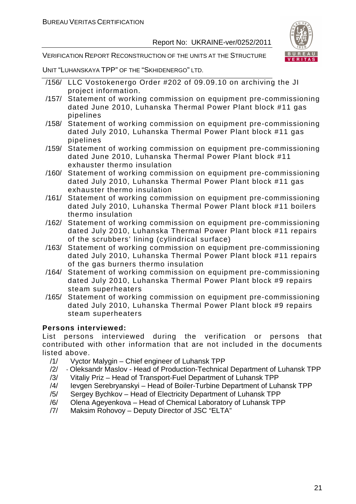

VERIFICATION REPORT RECONSTRUCTION OF THE UNITS AT THE STRUCTURE

UNIT "LUHANSKAYA TPP" OF THE "SKHIDENERGO" LTD.

- /156/ LLC Vostokenergo Order #202 of 09.09.10 on archiving the JI project information.
- /157/ Statement of working commission on equipment pre-commissioning dated June 2010, Luhanska Thermal Power Plant block #11 gas pipelines
- /158/ Statement of working commission on equipment pre-commissioning dated July 2010, Luhanska Thermal Power Plant block #11 gas pipelines
- /159/ Statement of working commission on equipment pre-commissioning dated June 2010, Luhanska Thermal Power Plant block #11 exhauster thermo insulation
- /160/ Statement of working commission on equipment pre-commissioning dated July 2010, Luhanska Thermal Power Plant block #11 gas exhauster thermo insulation
- /161/ Statement of working commission on equipment pre-commissioning dated July 2010, Luhanska Thermal Power Plant block #11 boilers thermo insulation
- /162/ Statement of working commission on equipment pre-commissioning dated July 2010, Luhanska Thermal Power Plant block #11 repairs of the scrubbers' lining (cylindrical surface)
- /163/ Statement of working commission on equipment pre-commissioning dated July 2010, Luhanska Thermal Power Plant block #11 repairs of the gas burners thermo insulation
- /164/ Statement of working commission on equipment pre-commissioning dated July 2010, Luhanska Thermal Power Plant block #9 repairs steam superheaters
- /165/ Statement of working commission on equipment pre-commissioning dated July 2010, Luhanska Thermal Power Plant block #9 repairs steam superheaters

#### **Persons interviewed:**

List persons interviewed during the verification or persons that contributed with other information that are not included in the documents listed above.

- /1/ Vyctor Malygin Chief engineer of Luhansk TPP
- /2/ Oleksandr Maslov Head of Production-Technical Department of Luhansk TPP
- /3/ Vitaliy Priz Head of Transport-Fuel Department of Luhansk TPP
- /4/ Ievgen Serebryanskyi Head of Boiler-Turbine Department of Luhansk TPP
- /5/ Sergey Bychkov Head of Electricity Department of Luhansk TPP
- /6/ Olena Ageyenkova Head of Chemical Laboratory of Luhansk TPP
- /7/ Maksim Rohovoy Deputy Director of JSC "ELTA"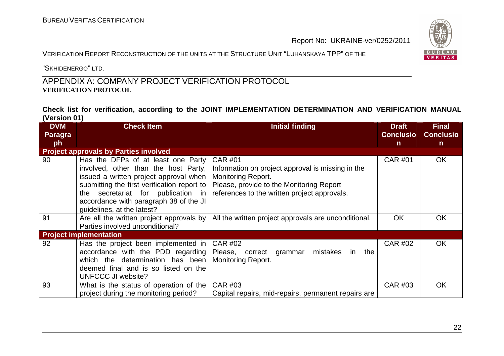"SKHIDENERGO" LTD.

#### APPENDIX A: COMPANY PROJECT VERIFICATION PROTOCOL **VERIFICATION PROTOCOL**

**Check list for verification, according to the JOINT IMPLEMENTATION DETERMINATION AND VERIFICATION MANUAL (Version 01)** 

| <b>DVM</b> | <b>Check Item</b>                            | <b>Initial finding</b>                               | <b>Draft</b>     | <b>Final</b>     |
|------------|----------------------------------------------|------------------------------------------------------|------------------|------------------|
| Paragra    |                                              |                                                      | <b>Conclusio</b> | <b>Conclusio</b> |
| ph         |                                              |                                                      | $\mathsf{n}$     | $\mathsf{n}$     |
|            | <b>Project approvals by Parties involved</b> |                                                      |                  |                  |
| 90         | Has the DFPs of at least one Party           | <b>CAR #01</b>                                       | <b>CAR #01</b>   | <b>OK</b>        |
|            | involved, other than the host Party,         | Information on project approval is missing in the    |                  |                  |
|            | issued a written project approval when       | <b>Monitoring Report.</b>                            |                  |                  |
|            | submitting the first verification report to  | Please, provide to the Monitoring Report             |                  |                  |
|            | the secretariat for publication in           | references to the written project approvals.         |                  |                  |
|            | accordance with paragraph 38 of the JI       |                                                      |                  |                  |
|            | quidelines, at the latest?                   |                                                      |                  |                  |
| 91         | Are all the written project approvals by     | All the written project approvals are unconditional. | <b>OK</b>        | <b>OK</b>        |
|            | Parties involved unconditional?              |                                                      |                  |                  |
|            | <b>Project implementation</b>                |                                                      |                  |                  |
| 92         | Has the project been implemented in          | <b>CAR #02</b>                                       | <b>CAR #02</b>   | <b>OK</b>        |
|            | accordance with the PDD regarding            | Please, correct<br>mistakes<br>the<br>grammar<br>in. |                  |                  |
|            | which the determination has been             | <b>Monitoring Report.</b>                            |                  |                  |
|            | deemed final and is so listed on the         |                                                      |                  |                  |
|            | <b>UNFCCC JI website?</b>                    |                                                      |                  |                  |
| 93         | What is the status of operation of the       | <b>CAR #03</b>                                       | <b>CAR #03</b>   | OK               |
|            | project during the monitoring period?        | Capital repairs, mid-repairs, permanent repairs are  |                  |                  |

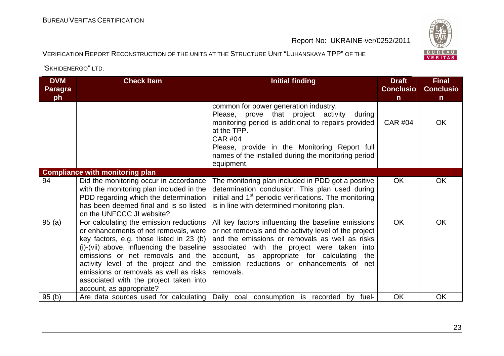#### VERIFICATION REPORT RECONSTRUCTION OF THE UNITS AT THE STRUCTURE UNIT "LUHANSKAYA TPP" OF THE

| <b>DVM</b><br>Paragra<br>ph | <b>Check Item</b>                                                                                                                                                                                                                                                                                                                                                       | <b>Initial finding</b>                                                                                                                                                                                                                                                                                                 | <b>Draft</b><br><b>Conclusio</b><br>$\mathsf{n}$ | <b>Final</b><br><b>Conclusio</b><br>$\mathsf{n}$ |
|-----------------------------|-------------------------------------------------------------------------------------------------------------------------------------------------------------------------------------------------------------------------------------------------------------------------------------------------------------------------------------------------------------------------|------------------------------------------------------------------------------------------------------------------------------------------------------------------------------------------------------------------------------------------------------------------------------------------------------------------------|--------------------------------------------------|--------------------------------------------------|
|                             |                                                                                                                                                                                                                                                                                                                                                                         | common for power generation industry.<br>Please, prove that project activity<br>during<br>monitoring period is additional to repairs provided<br>at the TPP.<br><b>CAR #04</b><br>Please, provide in the Monitoring Report full<br>names of the installed during the monitoring period<br>equipment.                   | <b>CAR #04</b>                                   | <b>OK</b>                                        |
|                             | <b>Compliance with monitoring plan</b>                                                                                                                                                                                                                                                                                                                                  |                                                                                                                                                                                                                                                                                                                        |                                                  |                                                  |
| 94                          | Did the monitoring occur in accordance<br>with the monitoring plan included in the<br>PDD regarding which the determination<br>has been deemed final and is so listed<br>on the UNFCCC JI website?                                                                                                                                                                      | The monitoring plan included in PDD got a positive<br>determination conclusion. This plan used during<br>initial and 1 <sup>st</sup> periodic verifications. The monitoring<br>is in line with determined monitoring plan.                                                                                             | OK                                               | OK                                               |
| 95(a)                       | For calculating the emission reductions<br>or enhancements of net removals, were<br>key factors, e.g. those listed in 23 (b)<br>(i)-(vii) above, influencing the baseline<br>emissions or net removals and the<br>activity level of the project and the<br>emissions or removals as well as risks<br>associated with the project taken into<br>account, as appropriate? | All key factors influencing the baseline emissions<br>or net removals and the activity level of the project<br>and the emissions or removals as well as risks<br>associated with the project were taken into<br>account, as appropriate for calculating the<br>emission reductions or enhancements of net<br>removals. | <b>OK</b>                                        | <b>OK</b>                                        |
| 95(b)                       | Are data sources used for calculating                                                                                                                                                                                                                                                                                                                                   | Daily coal consumption is recorded<br>fuel-<br>by                                                                                                                                                                                                                                                                      | <b>OK</b>                                        | OK                                               |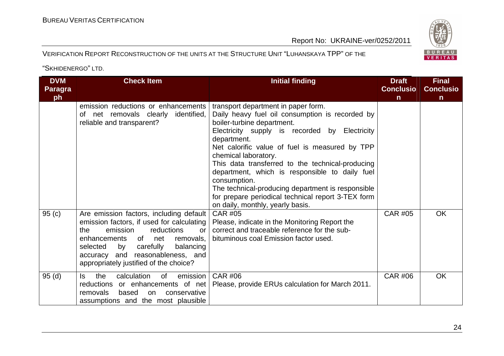#### VERIFICATION REPORT RECONSTRUCTION OF THE UNITS AT THE STRUCTURE UNIT "LUHANSKAYA TPP" OF THE

| <b>DVM</b><br><b>Paragra</b> | <b>Check Item</b>                                                                                                                                                                                                                                                                                         | <b>Initial finding</b>                                                                                                                                                                                                                                                                                                                                                                                                                                                                                                              | <b>Draft</b><br><b>Conclusio</b> | <b>Final</b><br><b>Conclusio</b> |
|------------------------------|-----------------------------------------------------------------------------------------------------------------------------------------------------------------------------------------------------------------------------------------------------------------------------------------------------------|-------------------------------------------------------------------------------------------------------------------------------------------------------------------------------------------------------------------------------------------------------------------------------------------------------------------------------------------------------------------------------------------------------------------------------------------------------------------------------------------------------------------------------------|----------------------------------|----------------------------------|
| ph                           | emission reductions or enhancements<br>of net removals clearly identified,<br>reliable and transparent?                                                                                                                                                                                                   | transport department in paper form.<br>Daily heavy fuel oil consumption is recorded by<br>boiler-turbine department.<br>Electricity supply is recorded by Electricity<br>department.<br>Net calorific value of fuel is measured by TPP<br>chemical laboratory.<br>This data transferred to the technical-producing<br>department, which is responsible to daily fuel<br>consumption.<br>The technical-producing department is responsible<br>for prepare periodical technical report 3-TEX form<br>on daily, monthly, yearly basis. | $\mathsf{n}$                     | $\mathsf{n}$                     |
| 95(c)                        | Are emission factors, including default<br>emission factors, if used for calculating<br>emission<br>reductions<br>the<br><b>or</b><br>of<br>enhancements<br>net<br>removals,<br>carefully<br>balancing<br>selected<br>by<br>and reasonableness, and<br>accuracy<br>appropriately justified of the choice? | <b>CAR #05</b><br>Please, indicate in the Monitoring Report the<br>correct and traceable reference for the sub-<br>bituminous coal Emission factor used.                                                                                                                                                                                                                                                                                                                                                                            | <b>CAR #05</b>                   | <b>OK</b>                        |
| 95(d)                        | calculation<br>emission<br>the<br>0f<br>ls.<br>reductions or enhancements of net<br>removals<br>based<br>conservative<br>on<br>assumptions and the most plausible                                                                                                                                         | <b>CAR #06</b><br>Please, provide ERUs calculation for March 2011.                                                                                                                                                                                                                                                                                                                                                                                                                                                                  | <b>CAR #06</b>                   | OK                               |

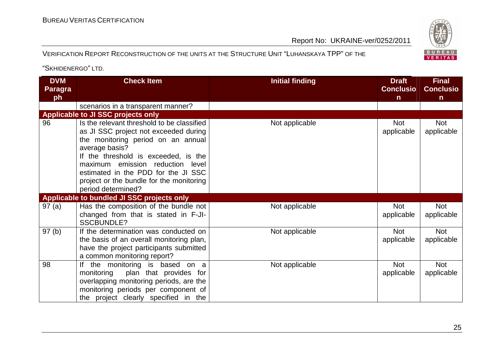BUREAU <sup>V</sup>ERITAS <sup>C</sup>ERTIFICATION

Report No: UKRAINE-ver/0252/2011

#### VERIFICATION REPORT RECONSTRUCTION OF THE UNITS AT THE STRUCTURE UNIT "LUHANSKAYA TPP" OF THE

| <b>DVM</b><br><b>Paragra</b><br>ph | <b>Check Item</b>                                                                                                                                                                                                                                                                                                                | <b>Initial finding</b> | <b>Draft</b><br><b>Conclusio</b><br>$\mathsf{n}$ | <b>Final</b><br><b>Conclusio</b><br>$\mathsf{n}$ |
|------------------------------------|----------------------------------------------------------------------------------------------------------------------------------------------------------------------------------------------------------------------------------------------------------------------------------------------------------------------------------|------------------------|--------------------------------------------------|--------------------------------------------------|
|                                    | scenarios in a transparent manner?                                                                                                                                                                                                                                                                                               |                        |                                                  |                                                  |
|                                    | <b>Applicable to JI SSC projects only</b>                                                                                                                                                                                                                                                                                        |                        |                                                  |                                                  |
| 96                                 | Is the relevant threshold to be classified<br>as JI SSC project not exceeded during<br>the monitoring period on an annual<br>average basis?<br>If the threshold is exceeded, is the<br>maximum emission reduction level<br>estimated in the PDD for the JI SSC<br>project or the bundle for the monitoring<br>period determined? | Not applicable         | <b>Not</b><br>applicable                         | Not<br>applicable                                |
|                                    | Applicable to bundled JI SSC projects only                                                                                                                                                                                                                                                                                       |                        |                                                  |                                                  |
| 97(a)                              | Has the composition of the bundle not<br>changed from that is stated in F-JI-<br><b>SSCBUNDLE?</b>                                                                                                                                                                                                                               | Not applicable         | <b>Not</b><br>applicable                         | <b>Not</b><br>applicable                         |
| 97(b)                              | If the determination was conducted on<br>the basis of an overall monitoring plan,<br>have the project participants submitted<br>a common monitoring report?                                                                                                                                                                      | Not applicable         | <b>Not</b><br>applicable                         | Not<br>applicable                                |
| 98                                 | If the monitoring is based on a<br>plan that provides for<br>monitoring<br>overlapping monitoring periods, are the<br>monitoring periods per component of<br>the project clearly specified in the                                                                                                                                | Not applicable         | <b>Not</b><br>applicable                         | <b>Not</b><br>applicable                         |

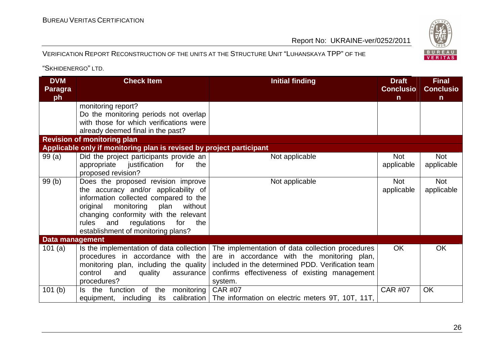BUREAU <sup>V</sup>ERITAS <sup>C</sup>ERTIFICATION

Report No: UKRAINE-ver/0252/2011

#### VERIFICATION REPORT RECONSTRUCTION OF THE UNITS AT THE STRUCTURE UNIT "LUHANSKAYA TPP" OF THE

| <b>DVM</b><br><b>Paragra</b><br>ph | <b>Check Item</b>                                                                                                                                                                                                                                                                            | <b>Initial finding</b>                                                                                                                                                                                           | <b>Draft</b><br><b>Conclusio</b><br>n | <b>Final</b><br><b>Conclusio</b><br>$\mathsf{n}$ |
|------------------------------------|----------------------------------------------------------------------------------------------------------------------------------------------------------------------------------------------------------------------------------------------------------------------------------------------|------------------------------------------------------------------------------------------------------------------------------------------------------------------------------------------------------------------|---------------------------------------|--------------------------------------------------|
|                                    | monitoring report?<br>Do the monitoring periods not overlap<br>with those for which verifications were<br>already deemed final in the past?                                                                                                                                                  |                                                                                                                                                                                                                  |                                       |                                                  |
|                                    | <b>Revision of monitoring plan</b>                                                                                                                                                                                                                                                           |                                                                                                                                                                                                                  |                                       |                                                  |
|                                    | Applicable only if monitoring plan is revised by project participant                                                                                                                                                                                                                         |                                                                                                                                                                                                                  |                                       |                                                  |
| 99(a)                              | Did the project participants provide an<br>appropriate<br>justification<br>for<br>the<br>proposed revision?                                                                                                                                                                                  | Not applicable                                                                                                                                                                                                   | <b>Not</b><br>applicable              | <b>Not</b><br>applicable                         |
| 99 (b)                             | Does the proposed revision improve<br>the accuracy and/or applicability of<br>information collected compared to the<br>original<br>monitoring<br>plan<br>without<br>changing conformity with the relevant<br>rules<br>the<br>and<br>regulations<br>for<br>establishment of monitoring plans? | Not applicable                                                                                                                                                                                                   | <b>Not</b><br>applicable              | <b>Not</b><br>applicable                         |
| Data management                    |                                                                                                                                                                                                                                                                                              |                                                                                                                                                                                                                  |                                       |                                                  |
| 101 $(a)$                          | Is the implementation of data collection<br>procedures in accordance with the<br>monitoring plan, including the quality<br>control<br>and<br>quality<br>assurance<br>procedures?                                                                                                             | The implementation of data collection procedures<br>are in accordance with the monitoring plan,<br>included in the determined PDD. Verification team<br>confirms effectiveness of existing management<br>system. | <b>OK</b>                             | OK                                               |
| 101(b)                             | Is the function of the<br>monitoring<br>calibration<br>equipment, including its                                                                                                                                                                                                              | <b>CAR #07</b><br>The information on electric meters 9T, 10T, 11T,                                                                                                                                               | <b>CAR #07</b>                        | <b>OK</b>                                        |

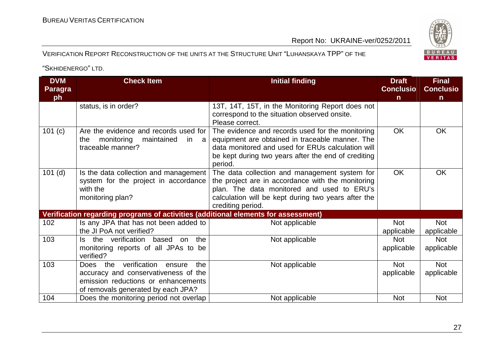#### VERIFICATION REPORT RECONSTRUCTION OF THE UNITS AT THE STRUCTURE UNIT "LUHANSKAYA TPP" OF THE

| <b>DVM</b><br><b>Paragra</b><br>ph | <b>Check Item</b>                                                                                                                                              | <b>Initial finding</b>                                                                                                                                                                                                       | <b>Draft</b><br><b>Conclusio</b><br>n | <b>Final</b><br><b>Conclusio</b><br>$\mathsf{n}$ |
|------------------------------------|----------------------------------------------------------------------------------------------------------------------------------------------------------------|------------------------------------------------------------------------------------------------------------------------------------------------------------------------------------------------------------------------------|---------------------------------------|--------------------------------------------------|
|                                    | status, is in order?                                                                                                                                           | 13T, 14T, 15T, in the Monitoring Report does not<br>correspond to the situation observed onsite.<br>Please correct.                                                                                                          |                                       |                                                  |
| 101(c)                             | Are the evidence and records used for<br>monitoring<br>maintained<br>the<br>in l<br>a<br>traceable manner?                                                     | The evidence and records used for the monitoring<br>equipment are obtained in traceable manner. The<br>data monitored and used for ERUs calculation will<br>be kept during two years after the end of crediting<br>period.   | <b>OK</b>                             | <b>OK</b>                                        |
| $101$ (d)                          | Is the data collection and management<br>system for the project in accordance<br>with the<br>monitoring plan?                                                  | The data collection and management system for<br>the project are in accordance with the monitoring<br>plan. The data monitored and used to ERU's<br>calculation will be kept during two years after the<br>crediting period. | <b>OK</b>                             | <b>OK</b>                                        |
|                                    | Verification regarding programs of activities (additional elements for assessment)                                                                             |                                                                                                                                                                                                                              |                                       |                                                  |
| 102                                | Is any JPA that has not been added to<br>the JI PoA not verified?                                                                                              | Not applicable                                                                                                                                                                                                               | <b>Not</b><br>applicable              | Not<br>applicable                                |
| 103                                | Is the verification<br>the<br>based<br>on<br>monitoring reports of all JPAs to be<br>verified?                                                                 | Not applicable                                                                                                                                                                                                               | <b>Not</b><br>applicable              | <b>Not</b><br>applicable                         |
| 103                                | verification<br>Does the<br>the<br>ensure<br>accuracy and conservativeness of the<br>emission reductions or enhancements<br>of removals generated by each JPA? | Not applicable                                                                                                                                                                                                               | <b>Not</b><br>applicable              | Not<br>applicable                                |
| 104                                | Does the monitoring period not overlap                                                                                                                         | Not applicable                                                                                                                                                                                                               | <b>Not</b>                            | Not                                              |

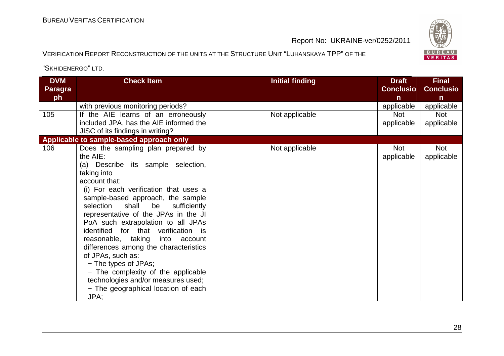#### VERIFICATION REPORT RECONSTRUCTION OF THE UNITS AT THE STRUCTURE UNIT "LUHANSKAYA TPP" OF THE

| <b>DVM</b><br><b>Paragra</b><br>ph | <b>Check Item</b>                                                                                                                                                                                                                                                                                                                                                                                                                                                                                                                                                                                                             | <b>Initial finding</b> | <b>Draft</b><br><b>Conclusio</b><br>n | <b>Final</b><br><b>Conclusio</b><br>n |
|------------------------------------|-------------------------------------------------------------------------------------------------------------------------------------------------------------------------------------------------------------------------------------------------------------------------------------------------------------------------------------------------------------------------------------------------------------------------------------------------------------------------------------------------------------------------------------------------------------------------------------------------------------------------------|------------------------|---------------------------------------|---------------------------------------|
|                                    | with previous monitoring periods?                                                                                                                                                                                                                                                                                                                                                                                                                                                                                                                                                                                             |                        | applicable                            | applicable                            |
| 105                                | If the AIE learns of an erroneously<br>included JPA, has the AIE informed the<br>JISC of its findings in writing?                                                                                                                                                                                                                                                                                                                                                                                                                                                                                                             | Not applicable         | <b>Not</b><br>applicable              | <b>Not</b><br>applicable              |
|                                    | Applicable to sample-based approach only                                                                                                                                                                                                                                                                                                                                                                                                                                                                                                                                                                                      |                        |                                       |                                       |
| 106                                | Does the sampling plan prepared by<br>the AIE:<br>(a) Describe its sample selection,<br>taking into<br>account that:<br>(i) For each verification that uses a<br>sample-based approach, the sample<br>selection<br>shall<br>be<br>sufficiently<br>representative of the JPAs in the JI<br>PoA such extrapolation to all JPAs<br>identified for that verification is<br>reasonable, taking<br>into<br>account<br>differences among the characteristics<br>of JPAs, such as:<br>- The types of JPAs;<br>- The complexity of the applicable<br>technologies and/or measures used;<br>- The geographical location of each<br>JPA; | Not applicable         | Not<br>applicable                     | <b>Not</b><br>applicable              |

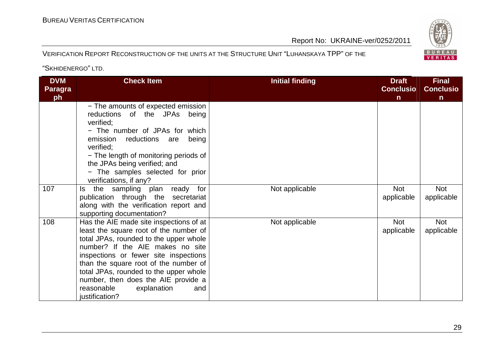#### BUREAU <sup>V</sup>ERITAS <sup>C</sup>ERTIFICATION

Report No: UKRAINE-ver/0252/2011

#### VERIFICATION REPORT RECONSTRUCTION OF THE UNITS AT THE STRUCTURE UNIT "LUHANSKAYA TPP" OF THE

| <b>DVM</b><br><b>Paragra</b><br>ph | <b>Check Item</b>                                                                                                                                                                                                                                                                                                                                                                        | <b>Initial finding</b> | <b>Draft</b><br><b>Conclusio</b><br>$\mathsf{n}$ | <b>Final</b><br><b>Conclusio</b><br>$\mathsf{n}$ |
|------------------------------------|------------------------------------------------------------------------------------------------------------------------------------------------------------------------------------------------------------------------------------------------------------------------------------------------------------------------------------------------------------------------------------------|------------------------|--------------------------------------------------|--------------------------------------------------|
|                                    | - The amounts of expected emission<br>reductions of the JPAs being<br>verified;<br>- The number of JPAs for which<br>reductions are<br>being<br>emission<br>verified:<br>- The length of monitoring periods of<br>the JPAs being verified; and<br>- The samples selected for prior<br>verifications, if any?                                                                             |                        |                                                  |                                                  |
| 107                                | the sampling plan<br>for<br>ready<br>ls.<br>publication through the<br>secretariat<br>along with the verification report and<br>supporting documentation?                                                                                                                                                                                                                                | Not applicable         | <b>Not</b><br>applicable                         | <b>Not</b><br>applicable                         |
| 108                                | Has the AIE made site inspections of at<br>least the square root of the number of<br>total JPAs, rounded to the upper whole<br>number? If the AIE makes no site<br>inspections or fewer site inspections<br>than the square root of the number of<br>total JPAs, rounded to the upper whole<br>number, then does the AIE provide a<br>reasonable<br>explanation<br>and<br>justification? | Not applicable         | <b>Not</b><br>applicable                         | <b>Not</b><br>applicable                         |

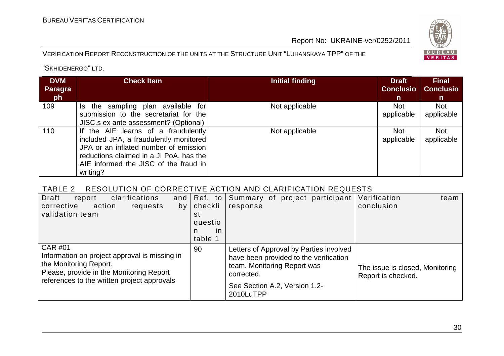#### VERIFICATION REPORT RECONSTRUCTION OF THE UNITS AT THE STRUCTURE UNIT "LUHANSKAYA TPP" OF THE

BUREAU<br>VERITAS

"SKHIDENERGO" LTD.

| <b>DVM</b><br><b>Paragra</b><br><b>ph</b> | <b>Check Item</b>                                                                                                                                                                                                      | <b>Initial finding</b> | <b>Draft</b><br><b>Conclusio</b><br>n | <b>Final</b><br><b>Conclusio</b><br>n |
|-------------------------------------------|------------------------------------------------------------------------------------------------------------------------------------------------------------------------------------------------------------------------|------------------------|---------------------------------------|---------------------------------------|
| 109                                       | Is the sampling plan available for<br>submission to the secretariat for the<br>JISC.s ex ante assessment? (Optional)                                                                                                   | Not applicable         | <b>Not</b><br>applicable              | <b>Not</b><br>applicable              |
| 110                                       | If the AIE learns of a fraudulently<br>included JPA, a fraudulently monitored<br>JPA or an inflated number of emission<br>reductions claimed in a JI PoA, has the<br>AIE informed the JISC of the fraud in<br>writing? | Not applicable         | <b>Not</b><br>applicable              | <b>Not</b><br>applicable              |

#### TABLE 2 RESOLUTION OF CORRECTIVE ACTION AND CLARIFICATION REQUESTS

| Draft<br>clarifications<br>report<br>and<br>action<br>corrective<br>requests<br>by<br>validation team                                                                                | Ref. to<br>$ $ checkli<br>st<br>questio<br>in.<br>n.<br>table 1 | Summary of project participant<br>response                                                                                                                                   | Verification<br>team<br>conclusion                    |
|--------------------------------------------------------------------------------------------------------------------------------------------------------------------------------------|-----------------------------------------------------------------|------------------------------------------------------------------------------------------------------------------------------------------------------------------------------|-------------------------------------------------------|
| <b>CAR #01</b><br>Information on project approval is missing in<br>the Monitoring Report.<br>Please, provide in the Monitoring Report<br>references to the written project approvals | 90                                                              | Letters of Approval by Parties involved<br>have been provided to the verification<br>team. Monitoring Report was<br>corrected.<br>See Section A.2, Version 1.2-<br>2010LuTPP | The issue is closed, Monitoring<br>Report is checked. |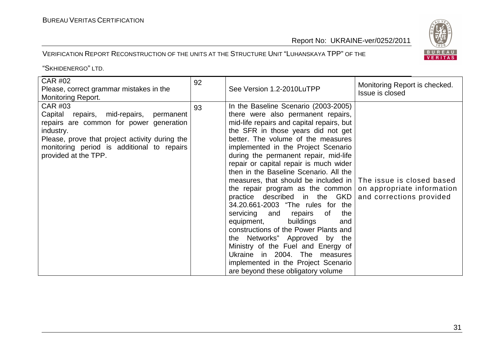#### VERIFICATION REPORT RECONSTRUCTION OF THE UNITS AT THE STRUCTURE UNIT "LUHANSKAYA TPP" OF THE

| <b>CAR #02</b><br>Please, correct grammar mistakes in the<br><b>Monitoring Report.</b>                                                                                                                                                       | 92 | See Version 1.2-2010LuTPP                                                                                                                                                                                                                                                                                                                                                                                                                                                                                                                                                                                                                                                                                                                                                                                                                                      | Monitoring Report is checked.<br>Issue is closed       |
|----------------------------------------------------------------------------------------------------------------------------------------------------------------------------------------------------------------------------------------------|----|----------------------------------------------------------------------------------------------------------------------------------------------------------------------------------------------------------------------------------------------------------------------------------------------------------------------------------------------------------------------------------------------------------------------------------------------------------------------------------------------------------------------------------------------------------------------------------------------------------------------------------------------------------------------------------------------------------------------------------------------------------------------------------------------------------------------------------------------------------------|--------------------------------------------------------|
| <b>CAR #03</b><br>Capital repairs, mid-repairs,<br>permanent<br>repairs are common for power generation<br>industry.<br>Please, prove that project activity during the<br>monitoring period is additional to repairs<br>provided at the TPP. | 93 | In the Baseline Scenario (2003-2005)<br>there were also permanent repairs,<br>mid-life repairs and capital repairs, but<br>the SFR in those years did not get<br>better. The volume of the measures<br>implemented in the Project Scenario<br>during the permanent repair, mid-life<br>repair or capital repair is much wider<br>then in the Baseline Scenario. All the<br>measures, that should be included in   The issue is closed based<br>the repair program as the common<br>practice described in the GKD<br>34.20.661-2003 "The rules for the<br>servicing and<br>repairs<br>the<br>of<br>equipment,<br>buildings<br>and<br>constructions of the Power Plants and<br>the Networks" Approved by the<br>Ministry of the Fuel and Energy of<br>Ukraine in 2004. The measures<br>implemented in the Project Scenario<br>are beyond these obligatory volume | on appropriate information<br>and corrections provided |